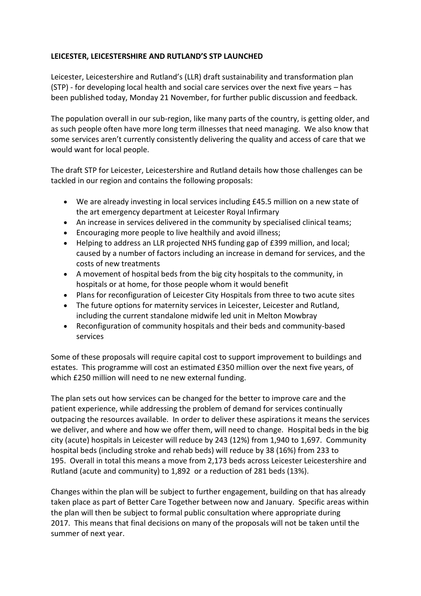## **LEICESTER, LEICESTERSHIRE AND RUTLAND'S STP LAUNCHED**

Leicester, Leicestershire and Rutland's (LLR) draft sustainability and transformation plan (STP) - for developing local health and social care services over the next five years – has been published today, Monday 21 November, for further public discussion and feedback.

The population overall in our sub-region, like many parts of the country, is getting older, and as such people often have more long term illnesses that need managing. We also know that some services aren't currently consistently delivering the quality and access of care that we would want for local people.

The draft STP for Leicester, Leicestershire and Rutland details how those challenges can be tackled in our region and contains the following proposals:

- We are already investing in local services including £45.5 million on a new state of the art emergency department at Leicester Royal Infirmary
- An increase in services delivered in the community by specialised clinical teams;
- Encouraging more people to live healthily and avoid illness;
- Helping to address an LLR projected NHS funding gap of £399 million, and local; caused by a number of factors including an increase in demand for services, and the costs of new treatments
- A movement of hospital beds from the big city hospitals to the community, in hospitals or at home, for those people whom it would benefit
- Plans for reconfiguration of Leicester City Hospitals from three to two acute sites
- The future options for maternity services in Leicester, Leicester and Rutland, including the current standalone midwife led unit in Melton Mowbray
- Reconfiguration of community hospitals and their beds and community-based services

Some of these proposals will require capital cost to support improvement to buildings and estates. This programme will cost an estimated £350 million over the next five years, of which £250 million will need to ne new external funding.

The plan sets out how services can be changed for the better to improve care and the patient experience, while addressing the problem of demand for services continually outpacing the resources available. In order to deliver these aspirations it means the services we deliver, and where and how we offer them, will need to change. Hospital beds in the big city (acute) hospitals in Leicester will reduce by 243 (12%) from 1,940 to 1,697. Community hospital beds (including stroke and rehab beds) will reduce by 38 (16%) from 233 to 195. Overall in total this means a move from 2,173 beds across Leicester Leicestershire and Rutland (acute and community) to 1,892 or a reduction of 281 beds (13%).

Changes within the plan will be subject to further engagement, building on that has already taken place as part of Better Care Together between now and January. Specific areas within the plan will then be subject to formal public consultation where appropriate during 2017. This means that final decisions on many of the proposals will not be taken until the summer of next year.